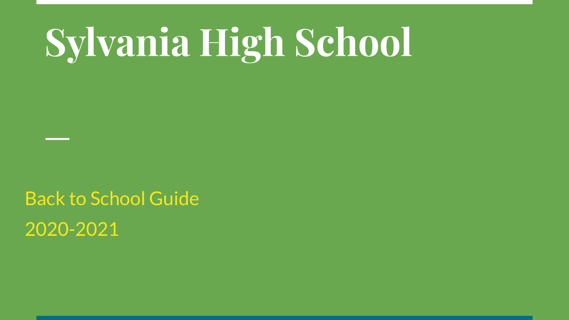# **Sylvania High School**

Back to School Guide 2020-2021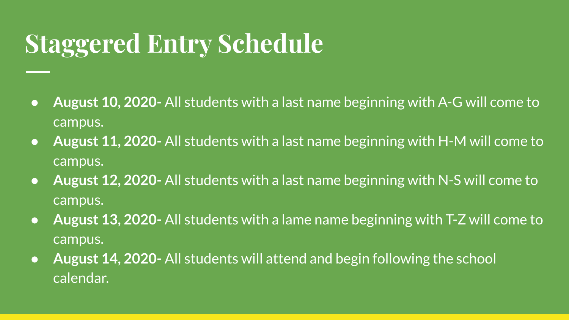## **Staggered Entry Schedule**

- **August 10, 2020-** All students with a last name beginning with A-G will come to campus.
- **● August 11, 2020-** All students with a last name beginning with H-M will come to campus.
- **● August 12, 2020-** All students with a last name beginning with N-S will come to campus.
- **● August 13, 2020-** All students with a lame name beginning with T-Z will come to campus.
- **● August 14, 2020-** All students will attend and begin following the school calendar.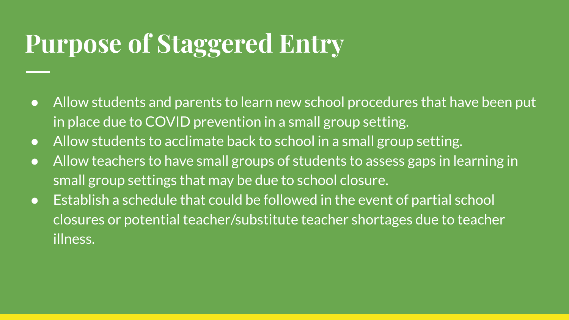#### **Purpose of Staggered Entry**

- Allow students and parents to learn new school procedures that have been put in place due to COVID prevention in a small group setting.
- Allow students to acclimate back to school in a small group setting.
- Allow teachers to have small groups of students to assess gaps in learning in small group settings that may be due to school closure.
- Establish a schedule that could be followed in the event of partial school closures or potential teacher/substitute teacher shortages due to teacher illness.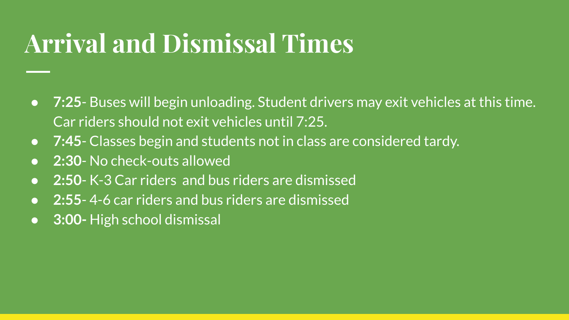## **Arrival and Dismissal Times**

- **7:25** Buses will begin unloading. Student drivers may exit vehicles at this time. Car riders should not exit vehicles until 7:25.
- **7:45** Classes begin and students not in class are considered tardy.
- **2:30** No check-outs allowed
- **2:50** K-3 Car riders and bus riders are dismissed
- **2:55** 4-6 car riders and bus riders are dismissed
- **3:00-** High school dismissal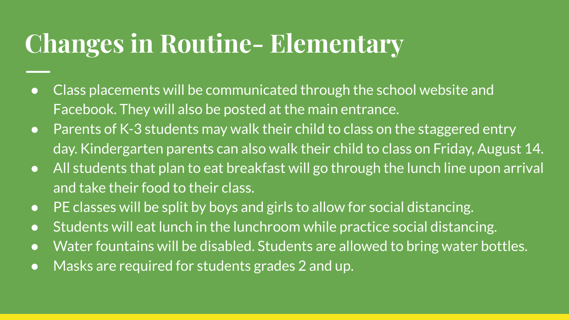## **Changes in Routine- Elementary**

- Class placements will be communicated through the school website and Facebook. They will also be posted at the main entrance.
- Parents of K-3 students may walk their child to class on the staggered entry day. Kindergarten parents can also walk their child to class on Friday, August 14.
- All students that plan to eat breakfast will go through the lunch line upon arrival and take their food to their class.
- PE classes will be split by boys and girls to allow for social distancing.
- Students will eat lunch in the lunchroom while practice social distancing.
- Water fountains will be disabled. Students are allowed to bring water bottles.
- Masks are required for students grades 2 and up.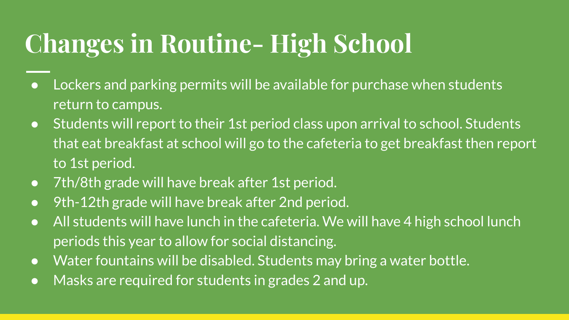## **Changes in Routine- High School**

- Lockers and parking permits will be available for purchase when students return to campus.
- Students will report to their 1st period class upon arrival to school. Students that eat breakfast at school will go to the cafeteria to get breakfast then report to 1st period.
- 7th/8th grade will have break after 1st period.
- 9th-12th grade will have break after 2nd period.
- All students will have lunch in the cafeteria. We will have 4 high school lunch periods this year to allow for social distancing.
- Water fountains will be disabled. Students may bring a water bottle.
- Masks are required for students in grades 2 and up.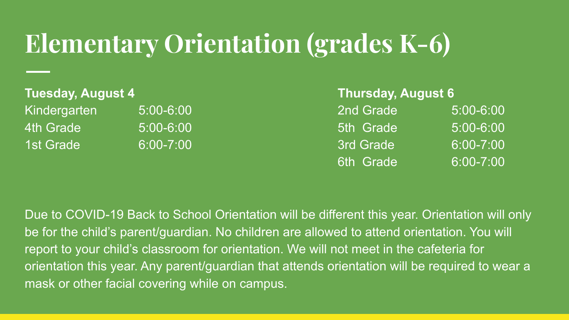#### **Elementary Orientation (grades K-6)**

| Tuesday, August 4 |               | <b>Thursday, August 6</b> |            |
|-------------------|---------------|---------------------------|------------|
| Kindergarten      | $5:00 - 6:00$ | 2nd Grade                 | $\epsilon$ |
| 4th Grade         | $5:00 - 6:00$ | 5th Grade                 | $\epsilon$ |
| 1st Grade         | $6:00 - 7:00$ | 3rd Grade                 |            |

| Tuesday, August 4 |               | <b>Thursday, August 6</b> |               |
|-------------------|---------------|---------------------------|---------------|
| Kindergarten      | $5:00 - 6:00$ | 2nd Grade                 | $5:00 - 6:00$ |
| 4th Grade         | 5:00-6:00     | 5th Grade                 | $5:00 - 6:00$ |
| 1st Grade         | $6:00 - 7:00$ | 3rd Grade                 | 6:00-7:00     |
|                   |               | 6th Grade                 | 6:00-7:00     |

Due to COVID-19 Back to School Orientation will be different this year. Orientation will only be for the child's parent/guardian. No children are allowed to attend orientation. You will report to your child's classroom for orientation. We will not meet in the cafeteria for orientation this year. Any parent/guardian that attends orientation will be required to wear a mask or other facial covering while on campus.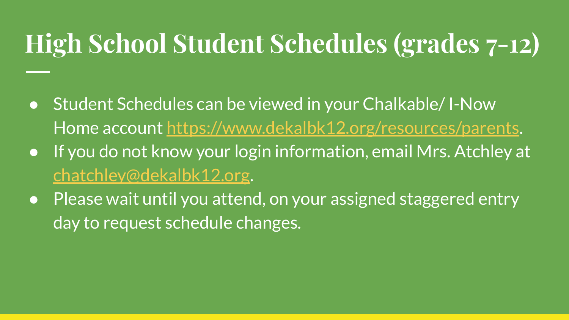# **High School Student Schedules (grades 7-12)**

- Student Schedules can be viewed in your Chalkable/ I-Now Home account <https://www.dekalbk12.org/resources/parents>.
- If you do not know your login information, email Mrs. Atchley at [chatchley@dekalbk12.org](mailto:chatchley@dekalbk12.org).
- Please wait until you attend, on your assigned staggered entry day to request schedule changes.